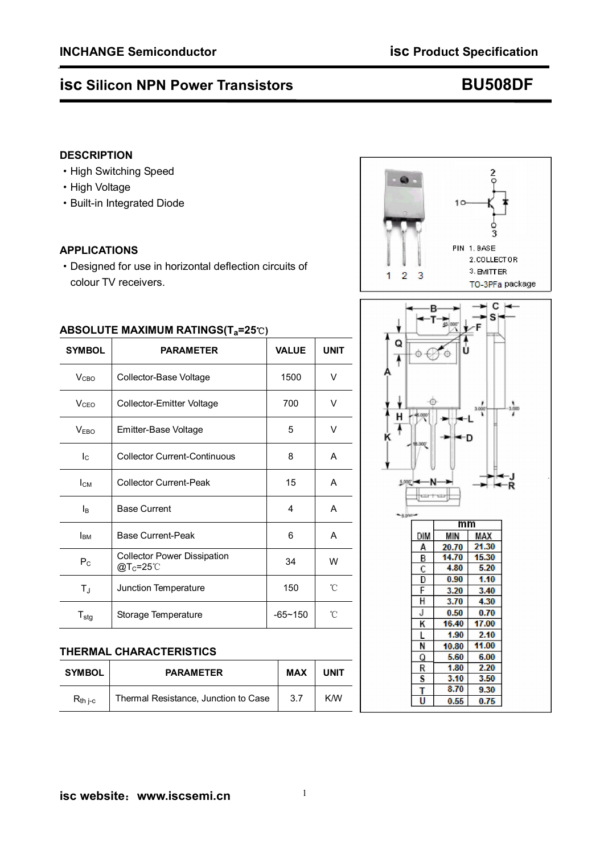# **isc Silicon NPN Power Transistors CONGLUITY BU508DF**

## **DESCRIPTION**

- ·High Switching Speed
- ·High Voltage
- ·Built-in Integrated Diode

### **APPLICATIONS**

·Designed for use in horizontal deflection circuits of colour TV receivers.

| $A$ DSOLO I E MAXIMOM NATINGS(1 $a$ -23 $\cup$ ) |                                                            |              |             |  |  |  |  |
|--------------------------------------------------|------------------------------------------------------------|--------------|-------------|--|--|--|--|
| <b>SYMBOL</b>                                    | <b>PARAMETER</b>                                           | <b>VALUE</b> | <b>UNIT</b> |  |  |  |  |
| V <sub>CBO</sub>                                 | Collector-Base Voltage                                     | 1500         |             |  |  |  |  |
| V <sub>CEO</sub>                                 | Collector-Emitter Voltage                                  | 700          | v           |  |  |  |  |
| V <sub>EBO</sub>                                 | 5<br>Emitter-Base Voltage                                  |              | V           |  |  |  |  |
| $I_{\rm C}$                                      | <b>Collector Current-Continuous</b>                        | 8            | A           |  |  |  |  |
| $I_{CM}$                                         | <b>Collector Current-Peak</b>                              | 15           | A           |  |  |  |  |
| Iв                                               | <b>Base Current</b>                                        | 4            | A           |  |  |  |  |
| <b>I</b> <sub>BM</sub>                           | <b>Base Current-Peak</b>                                   | 6            |             |  |  |  |  |
| $P_{C}$                                          | <b>Collector Power Dissipation</b><br>@T <sub>c</sub> =25℃ | 34           |             |  |  |  |  |
| $T_{\text{J}}$                                   | Junction Temperature                                       | 150          |             |  |  |  |  |
| $T_{\text{stg}}$                                 | Storage Temperature                                        | $-65 - 150$  | °C          |  |  |  |  |

### **ABSOLUTE MAXIMUM RATINGS(Ta=25**℃**)**

## **THERMAL CHARACTERISTICS**

| <b>SYMBOL</b> | <b>PARAMETER</b>                     | <b>MAX</b> | <b>UNIT</b> |
|---------------|--------------------------------------|------------|-------------|
| $R_{th i-c}$  | Thermal Resistance, Junction to Case | 3.7        | <b>KM</b>   |



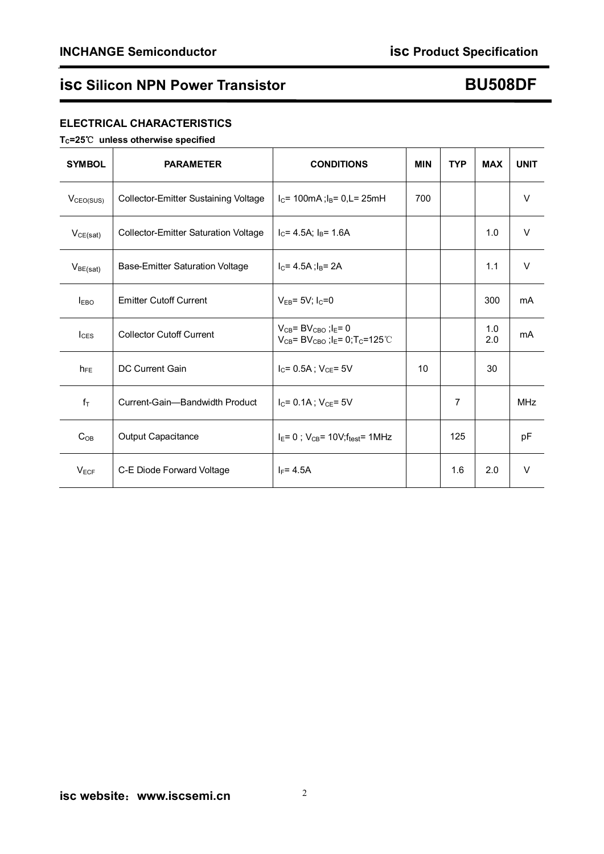# **isc Silicon NPN Power Transistor Concrete Concrete BU508DF**

## **ELECTRICAL CHARACTERISTICS**

### **TC=25**℃ **unless otherwise specified**

| <b>SYMBOL</b>         | <b>PARAMETER</b>                            | <b>CONDITIONS</b>                                                                                                       | <b>MIN</b> | <b>TYP</b> | <b>MAX</b> | <b>UNIT</b> |
|-----------------------|---------------------------------------------|-------------------------------------------------------------------------------------------------------------------------|------------|------------|------------|-------------|
| V <sub>CEO(SUS)</sub> | Collector-Emitter Sustaining Voltage        | $I_C$ = 100mA; $I_B$ = 0,L= 25mH                                                                                        | 700        |            |            | $\vee$      |
| VCE(sat)              | <b>Collector-Emitter Saturation Voltage</b> | $I_C$ = 4.5A; $I_B$ = 1.6A                                                                                              |            |            | 1.0        | $\vee$      |
| $V_{BE(sat)}$         | Base-Emitter Saturation Voltage             | $I_C$ = 4.5A ; $I_B$ = 2A                                                                                               |            |            | 1.1        | V           |
| I <sub>EBO</sub>      | <b>Emitter Cutoff Current</b>               | $V_{EB} = 5V$ ; $I_C = 0$                                                                                               |            |            | 300        | mA          |
| $_{\text{lcss}}$      | <b>Collector Cutoff Current</b>             | $V_{CB}$ = B $V_{CBO}$ ; I <sub>E</sub> = 0<br>$V_{CB}$ = BV <sub>CBO</sub> ; l <sub>E</sub> = 0; T <sub>C</sub> =125°C |            |            | 1.0<br>2.0 | mA          |
| $h_{FE}$              | DC Current Gain                             | $I_C = 0.5A$ ; $V_{CE} = 5V$                                                                                            | 10         |            | 30         |             |
| $f_T$                 | Current-Gain-Bandwidth Product              | $I_C = 0.1A$ ; $V_{CE} = 5V$                                                                                            |            | 7          |            | <b>MHz</b>  |
| $C_{OB}$              | Output Capacitance                          | $I_E = 0$ ; $V_{CB} = 10V; f_{test} = 1MHz$                                                                             |            | 125        |            | pF          |
| $V_{ECF}$             | C-E Diode Forward Voltage                   | $I_F = 4.5A$                                                                                                            |            | 1.6        | 2.0        | $\vee$      |